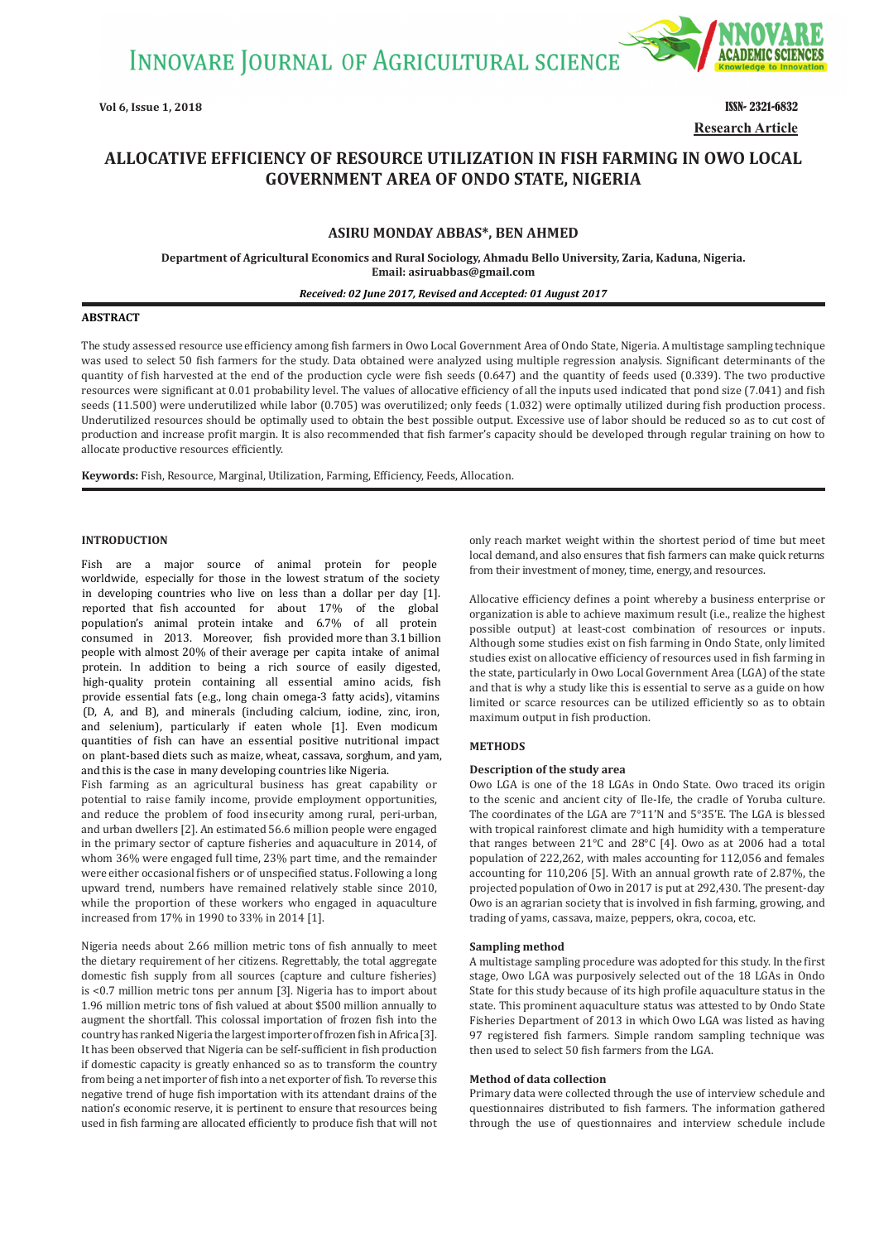**INNOVARE JOURNAL OF AGRICULTURAL SCIENCE** 



**Vol 6, Issue 1, 2018** ISSN- 2321-6832 **Research Article**

# **ALLOCATIVE EFFICIENCY OF RESOURCE UTILIZATION IN FISH FARMING IN OWO LOCAL GOVERNMENT AREA OF ONDO STATE, NIGERIA**

# **ASIRU MONDAY ABBAS\*, BEN AHMED**

**Department of Agricultural Economics and Rural Sociology, Ahmadu Bello University, Zaria, Kaduna, Nigeria. Email: asiruabbas@gmail.com**

#### *Received: 02 June 2017, Revised and Accepted: 01 August 2017*

## **ABSTRACT**

The study assessed resource use efficiency among fish farmers in Owo Local Government Area of Ondo State, Nigeria. A multistage sampling technique was used to select 50 fish farmers for the study. Data obtained were analyzed using multiple regression analysis. Significant determinants of the quantity of fish harvested at the end of the production cycle were fish seeds (0.647) and the quantity of feeds used (0.339). The two productive resources were significant at 0.01 probability level. The values of allocative efficiency of all the inputs used indicated that pond size (7.041) and fish seeds (11.500) were underutilized while labor (0.705) was overutilized; only feeds (1.032) were optimally utilized during fish production process. Underutilized resources should be optimally used to obtain the best possible output. Excessive use of labor should be reduced so as to cut cost of production and increase profit margin. It is also recommended that fish farmer's capacity should be developed through regular training on how to allocate productive resources efficiently.

**Keywords:** Fish, Resource, Marginal, Utilization, Farming, Efficiency, Feeds, Allocation.

## **INTRODUCTION**

Fish are a major source of animal protein for people worldwide, especially for those in the lowest stratum of the society in developing countries who live on less than a dollar per day [1]. reported that fish accounted for about 17% of the global population's animal protein intake and 6.7% of all protein consumed in 2013. Moreover, fish provided more than 3.1 billion people with almost 20% of their average per capita intake of animal protein. In addition to being a rich source of easily digested, high-quality protein containing all essential amino acids, fish provide essential fats (e.g., long chain omega-3 fatty acids), vitamins (D, A, and B), and minerals (including calcium, iodine, zinc, iron, and selenium), particularly if eaten whole [1]. Even modicum quantities of fish can have an essential positive nutritional impact on plant-based diets such as maize, wheat, cassava, sorghum, and yam, and this is the case in many developing countries like Nigeria.

Fish farming as an agricultural business has great capability or potential to raise family income, provide employment opportunities, and reduce the problem of food insecurity among rural, peri-urban, and urban dwellers [2]. An estimated 56.6 million people were engaged in the primary sector of capture fisheries and aquaculture in 2014, of whom 36% were engaged full time, 23% part time, and the remainder were either occasional fishers or of unspecified status. Following a long upward trend, numbers have remained relatively stable since 2010, while the proportion of these workers who engaged in aquaculture increased from 17% in 1990 to 33% in 2014 [1].

Nigeria needs about 2.66 million metric tons of fish annually to meet the dietary requirement of her citizens. Regrettably, the total aggregate domestic fish supply from all sources (capture and culture fisheries) is <0.7 million metric tons per annum [3]. Nigeria has to import about 1.96 million metric tons of fish valued at about \$500 million annually to augment the shortfall. This colossal importation of frozen fish into the country has ranked Nigeria the largest importer of frozen fish in Africa [3]. It has been observed that Nigeria can be self-sufficient in fish production if domestic capacity is greatly enhanced so as to transform the country from being a net importer of fish into a net exporter of fish. To reverse this negative trend of huge fish importation with its attendant drains of the nation's economic reserve, it is pertinent to ensure that resources being used in fish farming are allocated efficiently to produce fish that will not only reach market weight within the shortest period of time but meet local demand, and also ensures that fish farmers can make quick returns from their investment of money, time, energy, and resources.

Allocative efficiency defines a point whereby a business enterprise or organization is able to achieve maximum result (i.e., realize the highest possible output) at least-cost combination of resources or inputs. Although some studies exist on fish farming in Ondo State, only limited studies exist on allocative efficiency of resources used in fish farming in the state, particularly in Owo Local Government Area (LGA) of the state and that is why a study like this is essential to serve as a guide on how limited or scarce resources can be utilized efficiently so as to obtain maximum output in fish production.

### **METHODS**

#### **Description of the study area**

Owo LGA is one of the 18 LGAs in Ondo State. Owo traced its origin to the scenic and ancient city of Ile-Ife, the cradle of Yoruba culture. The coordinates of the LGA are 7°11'N and 5°35'E. The LGA is blessed with tropical rainforest climate and high humidity with a temperature that ranges between 21°C and 28°C [4]. Owo as at 2006 had a total population of 222,262, with males accounting for 112,056 and females accounting for 110,206 [5]. With an annual growth rate of 2.87%, the projected population of Owo in 2017 is put at 292,430. The present-day Owo is an agrarian society that is involved in fish farming, growing, and trading of yams, cassava, maize, peppers, okra, cocoa, etc.

#### **Sampling method**

A multistage sampling procedure was adopted for this study. In the first stage, Owo LGA was purposively selected out of the 18 LGAs in Ondo State for this study because of its high profile aquaculture status in the state. This prominent aquaculture status was attested to by Ondo State Fisheries Department of 2013 in which Owo LGA was listed as having 97 registered fish farmers. Simple random sampling technique was then used to select 50 fish farmers from the LGA.

#### **Method of data collection**

Primary data were collected through the use of interview schedule and questionnaires distributed to fish farmers. The information gathered through the use of questionnaires and interview schedule include